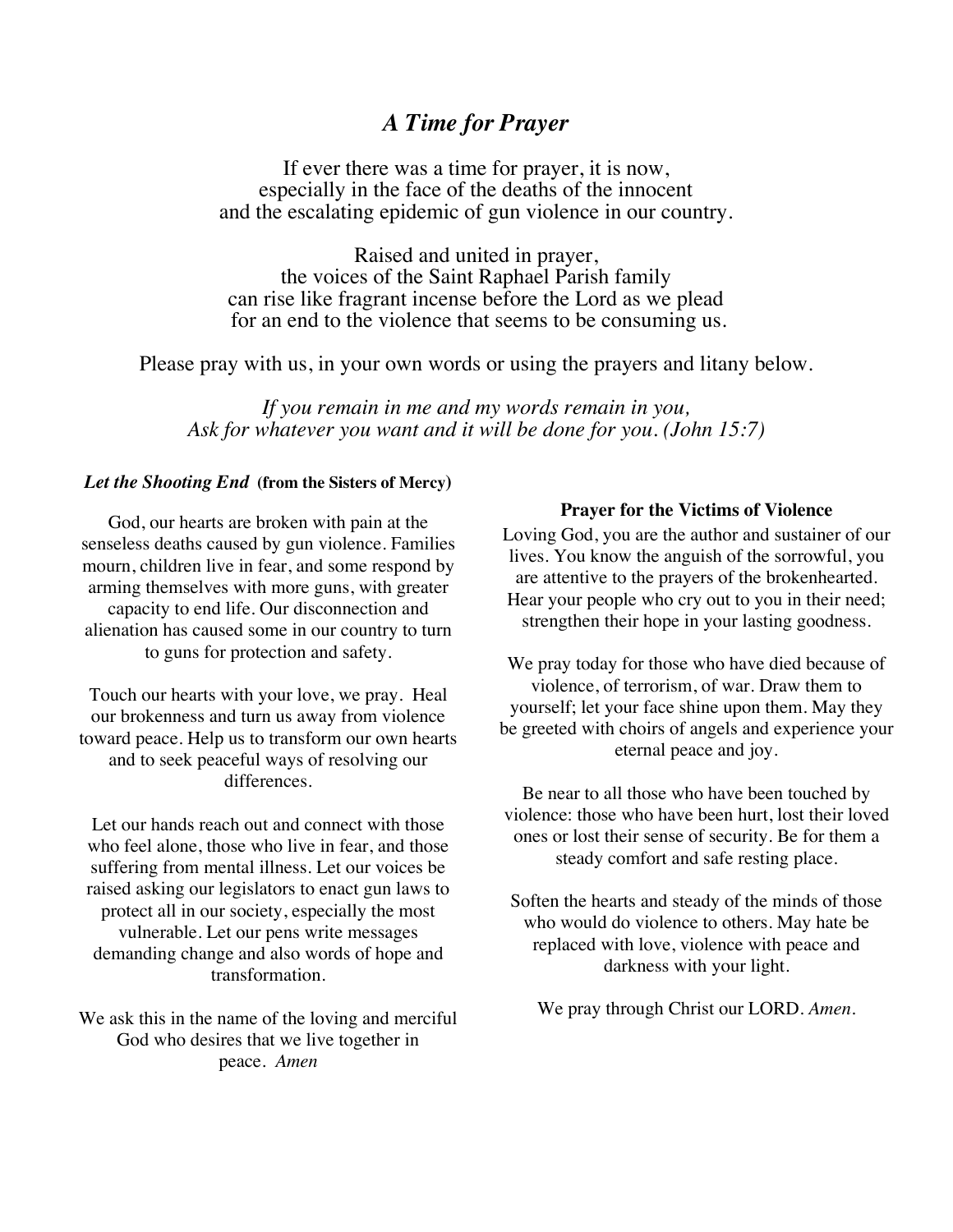## *A Time for Prayer*

If ever there was a time for prayer, it is now, especially in the face of the deaths of the innocent and the escalating epidemic of gun violence in our country.

Raised and united in prayer, the voices of the Saint Raphael Parish family can rise like fragrant incense before the Lord as we plead for an end to the violence that seems to be consuming us.

Please pray with us, in your own words or using the prayers and litany below.

*If you remain in me and my words remain in you, Ask for whatever you want and it will be done for you. (John 15:7)*

## *Let the Shooting End* **(from the Sisters of Mercy)**

God, our hearts are broken with pain at the senseless deaths caused by gun violence. Families mourn, children live in fear, and some respond by arming themselves with more guns, with greater capacity to end life. Our disconnection and alienation has caused some in our country to turn to guns for protection and safety.

Touch our hearts with your love, we pray. Heal our brokenness and turn us away from violence toward peace. Help us to transform our own hearts and to seek peaceful ways of resolving our differences.

Let our hands reach out and connect with those who feel alone, those who live in fear, and those suffering from mental illness. Let our voices be raised asking our legislators to enact gun laws to protect all in our society, especially the most vulnerable. Let our pens write messages demanding change and also words of hope and transformation.

We ask this in the name of the loving and merciful God who desires that we live together in peace. *Amen*

## **Prayer for the Victims of Violence**

Loving God, you are the author and sustainer of our lives. You know the anguish of the sorrowful, you are attentive to the prayers of the brokenhearted. Hear your people who cry out to you in their need; strengthen their hope in your lasting goodness.

We pray today for those who have died because of violence, of terrorism, of war. Draw them to yourself; let your face shine upon them. May they be greeted with choirs of angels and experience your eternal peace and joy.

Be near to all those who have been touched by violence: those who have been hurt, lost their loved ones or lost their sense of security. Be for them a steady comfort and safe resting place.

Soften the hearts and steady of the minds of those who would do violence to others. May hate be replaced with love, violence with peace and darkness with your light.

We pray through Christ our LORD. *Amen.*